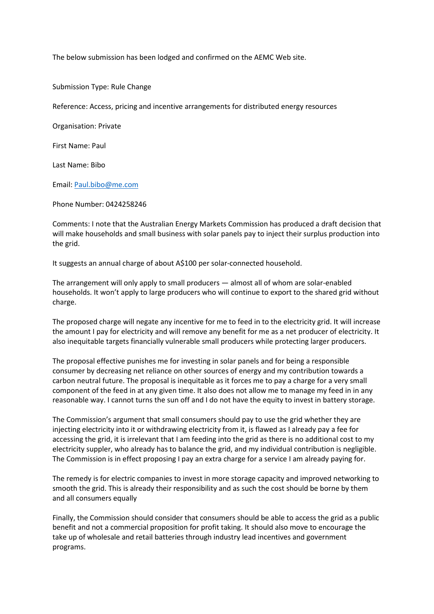The below submission has been lodged and confirmed on the AEMC Web site.

Submission Type: Rule Change

Reference: Access, pricing and incentive arrangements for distributed energy resources

Organisation: Private

First Name: Paul

Last Name: Bibo

Email: [Paul.bibo@me.com](mailto:Paul.bibo@me.com)

Phone Number: 0424258246

Comments: I note that the Australian Energy Markets Commission has produced a draft decision that will make households and small business with solar panels pay to inject their surplus production into the grid.

It suggests an annual charge of about A\$100 per solar-connected household.

The arrangement will only apply to small producers — almost all of whom are solar-enabled households. It won't apply to large producers who will continue to export to the shared grid without charge.

The proposed charge will negate any incentive for me to feed in to the electricity grid. It will increase the amount I pay for electricity and will remove any benefit for me as a net producer of electricity. It also inequitable targets financially vulnerable small producers while protecting larger producers.

The proposal effective punishes me for investing in solar panels and for being a responsible consumer by decreasing net reliance on other sources of energy and my contribution towards a carbon neutral future. The proposal is inequitable as it forces me to pay a charge for a very small component of the feed in at any given time. It also does not allow me to manage my feed in in any reasonable way. I cannot turns the sun off and I do not have the equity to invest in battery storage.

The Commission's argument that small consumers should pay to use the grid whether they are injecting electricity into it or withdrawing electricity from it, is flawed as I already pay a fee for accessing the grid, it is irrelevant that I am feeding into the grid as there is no additional cost to my electricity suppler, who already has to balance the grid, and my individual contribution is negligible. The Commission is in effect proposing I pay an extra charge for a service I am already paying for.

The remedy is for electric companies to invest in more storage capacity and improved networking to smooth the grid. This is already their responsibility and as such the cost should be borne by them and all consumers equally

Finally, the Commission should consider that consumers should be able to access the grid as a public benefit and not a commercial proposition for profit taking. It should also move to encourage the take up of wholesale and retail batteries through industry lead incentives and government programs.